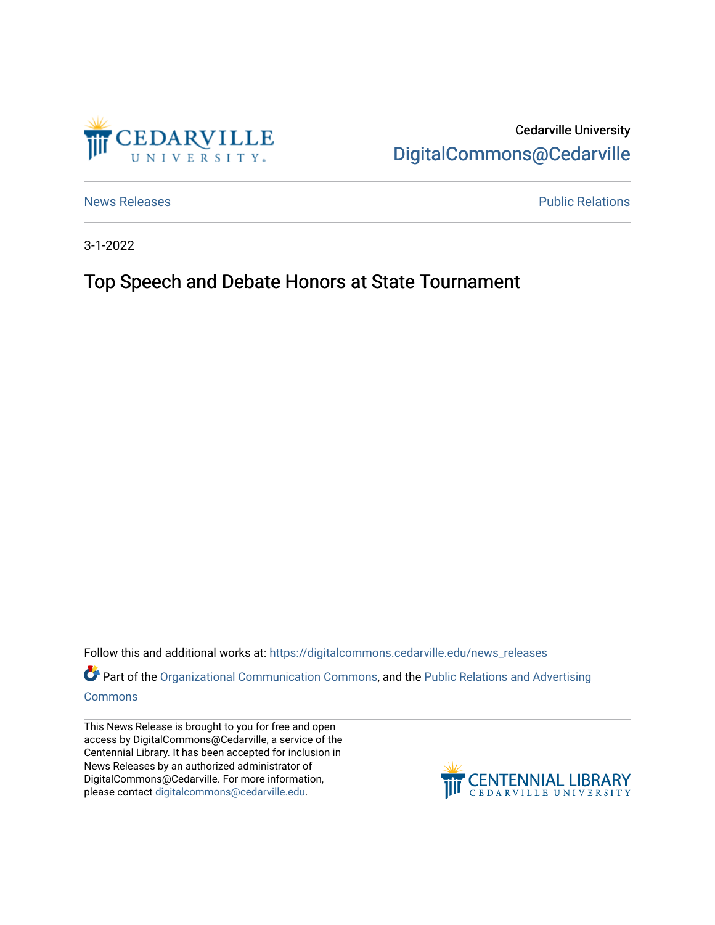

Cedarville University [DigitalCommons@Cedarville](https://digitalcommons.cedarville.edu/) 

[News Releases](https://digitalcommons.cedarville.edu/news_releases) **Public Relations Public Relations** 

3-1-2022

## Top Speech and Debate Honors at State Tournament

Follow this and additional works at: [https://digitalcommons.cedarville.edu/news\\_releases](https://digitalcommons.cedarville.edu/news_releases?utm_source=digitalcommons.cedarville.edu%2Fnews_releases%2F1507&utm_medium=PDF&utm_campaign=PDFCoverPages) 

Part of the [Organizational Communication Commons](http://network.bepress.com/hgg/discipline/335?utm_source=digitalcommons.cedarville.edu%2Fnews_releases%2F1507&utm_medium=PDF&utm_campaign=PDFCoverPages), and the Public Relations and Advertising [Commons](http://network.bepress.com/hgg/discipline/336?utm_source=digitalcommons.cedarville.edu%2Fnews_releases%2F1507&utm_medium=PDF&utm_campaign=PDFCoverPages)

This News Release is brought to you for free and open access by DigitalCommons@Cedarville, a service of the Centennial Library. It has been accepted for inclusion in News Releases by an authorized administrator of DigitalCommons@Cedarville. For more information, please contact [digitalcommons@cedarville.edu](mailto:digitalcommons@cedarville.edu).